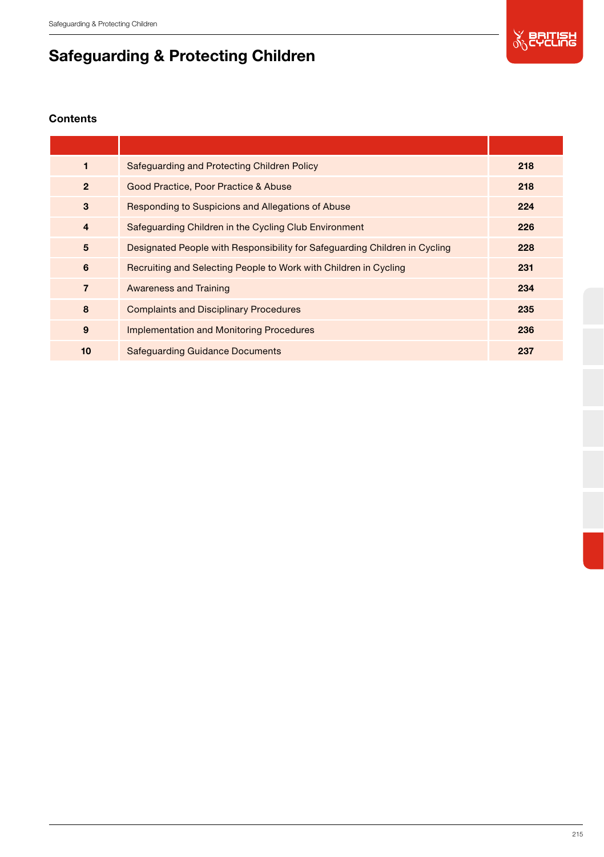

# Safeguarding & Protecting Children

# **Contents**

| 1              | Safeguarding and Protecting Children Policy                                | 218 |
|----------------|----------------------------------------------------------------------------|-----|
| $\overline{2}$ | Good Practice, Poor Practice & Abuse                                       | 218 |
| 3              | Responding to Suspicions and Allegations of Abuse                          | 224 |
| $\overline{4}$ | Safeguarding Children in the Cycling Club Environment                      | 226 |
| 5              | Designated People with Responsibility for Safeguarding Children in Cycling | 228 |
| 6              | Recruiting and Selecting People to Work with Children in Cycling           | 231 |
| $\overline{7}$ | <b>Awareness and Training</b>                                              | 234 |
| 8              | <b>Complaints and Disciplinary Procedures</b>                              | 235 |
| $\mathbf{9}$   | <b>Implementation and Monitoring Procedures</b>                            | 236 |
| 10             | <b>Safequarding Guidance Documents</b>                                     | 237 |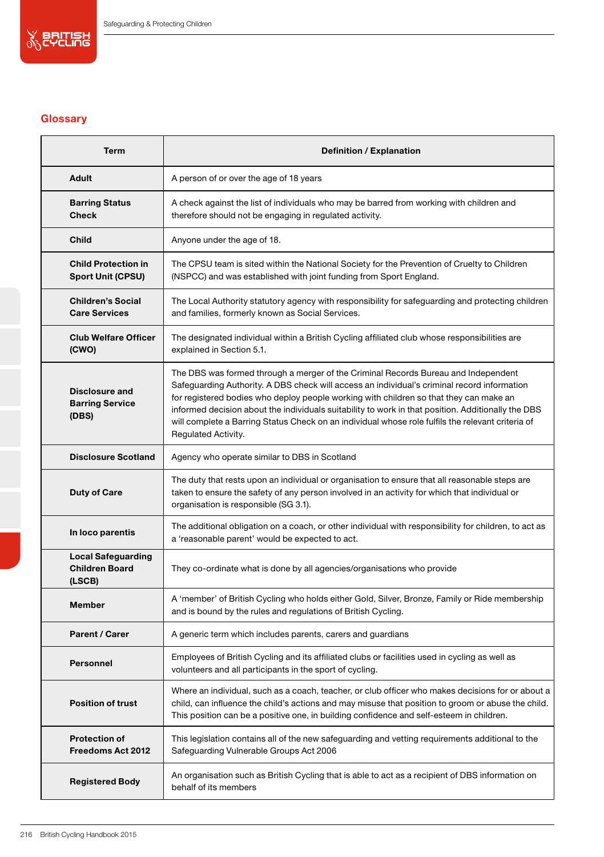

# **Glossary**

| <b>Term</b>                                                  | Definition / Explanation                                                                                                                                                                                                                                                                                                                                                                                                                                                                                      |  |  |  |
|--------------------------------------------------------------|---------------------------------------------------------------------------------------------------------------------------------------------------------------------------------------------------------------------------------------------------------------------------------------------------------------------------------------------------------------------------------------------------------------------------------------------------------------------------------------------------------------|--|--|--|
| Adult                                                        | A person of or over the age of 18 years                                                                                                                                                                                                                                                                                                                                                                                                                                                                       |  |  |  |
| <b>Barring Status</b><br>Check                               | A check against the list of individuals who may be barred from working with children and<br>therefore should not be engaging in regulated activity.                                                                                                                                                                                                                                                                                                                                                           |  |  |  |
| Child                                                        | Anyone under the age of 18.                                                                                                                                                                                                                                                                                                                                                                                                                                                                                   |  |  |  |
| <b>Child Protection in</b><br><b>Sport Unit (CPSU)</b>       | The CPSU team is sited within the National Society for the Prevention of Cruelty to Children<br>(NSPCC) and was established with joint funding from Sport England.                                                                                                                                                                                                                                                                                                                                            |  |  |  |
| <b>Children's Social</b><br><b>Care Services</b>             | The Local Authority statutory agency with responsibility for safeguarding and protecting children<br>and families, formerly known as Social Services.                                                                                                                                                                                                                                                                                                                                                         |  |  |  |
| <b>Club Welfare Officer</b><br>(CWO)                         | The designated individual within a British Cycling affiliated club whose responsibilities are<br>explained in Section 5.1.                                                                                                                                                                                                                                                                                                                                                                                    |  |  |  |
| <b>Disclosure and</b><br><b>Barring Service</b><br>(DBS)     | The DBS was formed through a merger of the Criminal Records Bureau and Independent<br>Safeguarding Authority. A DBS check will access an individual's criminal record information<br>for registered bodies who deploy people working with children so that they can make an<br>informed decision about the individuals suitability to work in that position. Additionally the DBS<br>will complete a Barring Status Check on an individual whose role fulfils the relevant criteria of<br>Regulated Activity. |  |  |  |
| <b>Disclosure Scotland</b>                                   | Agency who operate similar to DBS in Scotland                                                                                                                                                                                                                                                                                                                                                                                                                                                                 |  |  |  |
| <b>Duty of Care</b>                                          | The duty that rests upon an individual or organisation to ensure that all reasonable steps are<br>taken to ensure the safety of any person involved in an activity for which that individual or<br>organisation is responsible (SG 3.1).                                                                                                                                                                                                                                                                      |  |  |  |
| In loco parentis                                             | The additional obligation on a coach, or other individual with responsibility for children, to act as<br>a 'reasonable parent' would be expected to act.                                                                                                                                                                                                                                                                                                                                                      |  |  |  |
| <b>Local Safeguarding</b><br><b>Children Board</b><br>(LSCB) | They co-ordinate what is done by all agencies/organisations who provide                                                                                                                                                                                                                                                                                                                                                                                                                                       |  |  |  |
| Member                                                       | A 'member' of British Cycling who holds either Gold, Silver, Bronze, Family or Ride membership<br>and is bound by the rules and regulations of British Cycling.                                                                                                                                                                                                                                                                                                                                               |  |  |  |
| Parent / Carer                                               | A generic term which includes parents, carers and guardians                                                                                                                                                                                                                                                                                                                                                                                                                                                   |  |  |  |
| Personnel                                                    | Employees of British Cycling and its affiliated clubs or facilities used in cycling as well as<br>volunteers and all participants in the sport of cycling.                                                                                                                                                                                                                                                                                                                                                    |  |  |  |
| <b>Position of trust</b>                                     | Where an individual, such as a coach, teacher, or club officer who makes decisions for or about a<br>child, can influence the child's actions and may misuse that position to groom or abuse the child.<br>This position can be a positive one, in building confidence and self-esteem in children.                                                                                                                                                                                                           |  |  |  |
| <b>Protection of</b><br>Freedoms Act 2012                    | This legislation contains all of the new safeguarding and vetting requirements additional to the<br>Safeguarding Vulnerable Groups Act 2006                                                                                                                                                                                                                                                                                                                                                                   |  |  |  |
| <b>Registered Body</b>                                       | An organisation such as British Cycling that is able to act as a recipient of DBS information on<br>behalf of its members                                                                                                                                                                                                                                                                                                                                                                                     |  |  |  |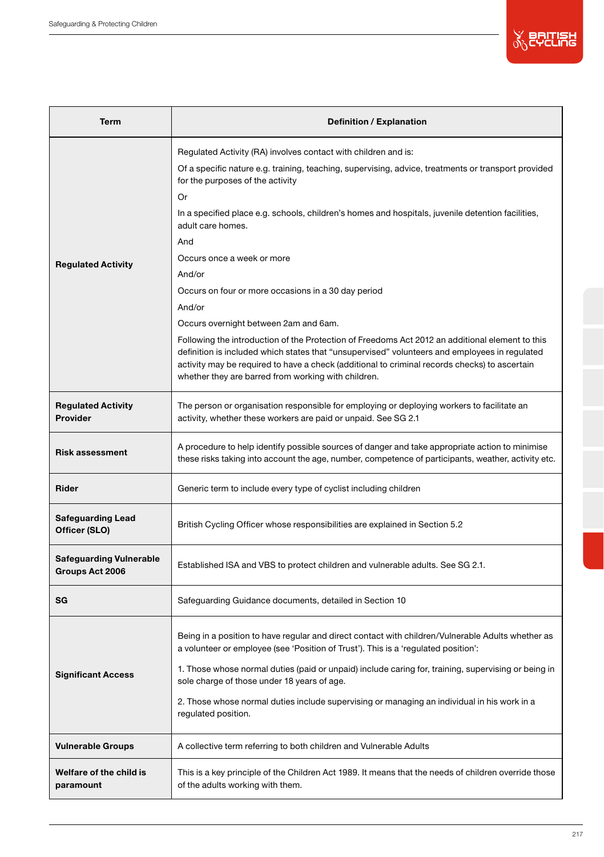

| Term                                              | Definition / Explanation                                                                                                                                                                                                                                                                                                                                                                          |  |  |  |  |
|---------------------------------------------------|---------------------------------------------------------------------------------------------------------------------------------------------------------------------------------------------------------------------------------------------------------------------------------------------------------------------------------------------------------------------------------------------------|--|--|--|--|
|                                                   | Regulated Activity (RA) involves contact with children and is:<br>Of a specific nature e.g. training, teaching, supervising, advice, treatments or transport provided<br>for the purposes of the activity<br>Or                                                                                                                                                                                   |  |  |  |  |
|                                                   | In a specified place e.g. schools, children's homes and hospitals, juvenile detention facilities,<br>adult care homes.                                                                                                                                                                                                                                                                            |  |  |  |  |
| <b>Regulated Activity</b>                         | And<br>Occurs once a week or more<br>And/or                                                                                                                                                                                                                                                                                                                                                       |  |  |  |  |
|                                                   | Occurs on four or more occasions in a 30 day period<br>And/or                                                                                                                                                                                                                                                                                                                                     |  |  |  |  |
|                                                   | Occurs overnight between 2am and 6am.<br>Following the introduction of the Protection of Freedoms Act 2012 an additional element to this<br>definition is included which states that "unsupervised" volunteers and employees in regulated<br>activity may be required to have a check (additional to criminal records checks) to ascertain<br>whether they are barred from working with children. |  |  |  |  |
| <b>Regulated Activity</b><br>Provider             | The person or organisation responsible for employing or deploying workers to facilitate an<br>activity, whether these workers are paid or unpaid. See SG 2.1                                                                                                                                                                                                                                      |  |  |  |  |
| <b>Risk assessment</b>                            | A procedure to help identify possible sources of danger and take appropriate action to minimise<br>these risks taking into account the age, number, competence of participants, weather, activity etc.                                                                                                                                                                                            |  |  |  |  |
| Rider                                             | Generic term to include every type of cyclist including children                                                                                                                                                                                                                                                                                                                                  |  |  |  |  |
| <b>Safeguarding Lead</b><br>Officer (SLO)         | British Cycling Officer whose responsibilities are explained in Section 5.2                                                                                                                                                                                                                                                                                                                       |  |  |  |  |
| <b>Safeguarding Vulnerable</b><br>Groups Act 2006 | Established ISA and VBS to protect children and vulnerable adults. See SG 2.1.                                                                                                                                                                                                                                                                                                                    |  |  |  |  |
| SG                                                | Safeguarding Guidance documents, detailed in Section 10                                                                                                                                                                                                                                                                                                                                           |  |  |  |  |
|                                                   | Being in a position to have regular and direct contact with children/Vulnerable Adults whether as<br>a volunteer or employee (see 'Position of Trust'). This is a 'regulated position':                                                                                                                                                                                                           |  |  |  |  |
| <b>Significant Access</b>                         | 1. Those whose normal duties (paid or unpaid) include caring for, training, supervising or being in<br>sole charge of those under 18 years of age.                                                                                                                                                                                                                                                |  |  |  |  |
|                                                   | 2. Those whose normal duties include supervising or managing an individual in his work in a<br>regulated position.                                                                                                                                                                                                                                                                                |  |  |  |  |
| <b>Vulnerable Groups</b>                          | A collective term referring to both children and Vulnerable Adults                                                                                                                                                                                                                                                                                                                                |  |  |  |  |
| Welfare of the child is<br>paramount              | This is a key principle of the Children Act 1989. It means that the needs of children override those<br>of the adults working with them.                                                                                                                                                                                                                                                          |  |  |  |  |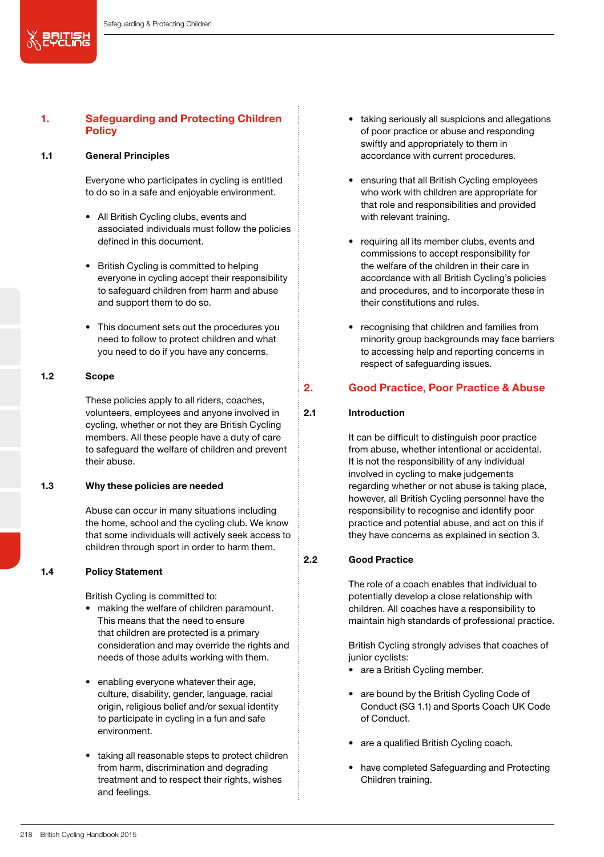# 1. Safeguarding and Protecting Children **Policy**

# 1.1 General Principles

义思尔思

Everyone who participates in cycling is entitled to do so in a safe and enjoyable environment.

- All British Cycling clubs, events and associated individuals must follow the policies defined in this document.
- British Cycling is committed to helping everyone in cycling accept their responsibility to safeguard children from harm and abuse and support them to do so.
- This document sets out the procedures you need to follow to protect children and what you need to do if you have any concerns.

#### 1.2 Scope

These policies apply to all riders, coaches, volunteers, employees and anyone involved in cycling, whether or not they are British Cycling members. All these people have a duty of care to safeguard the welfare of children and prevent their abuse.

### 1.3 Why these policies are needed

Abuse can occur in many situations including the home, school and the cycling club. We know that some individuals will actively seek access to children through sport in order to harm them.

#### 1.4 Policy Statement

British Cycling is committed to:

- making the welfare of children paramount. This means that the need to ensure that children are protected is a primary consideration and may override the rights and needs of those adults working with them.
- enabling everyone whatever their age, culture, disability, gender, language, racial origin, religious belief and/or sexual identity to participate in cycling in a fun and safe environment.
- taking all reasonable steps to protect children from harm, discrimination and degrading treatment and to respect their rights, wishes and feelings.
- taking seriously all suspicions and allegations of poor practice or abuse and responding swiftly and appropriately to them in accordance with current procedures.
- ensuring that all British Cycling employees who work with children are appropriate for that role and responsibilities and provided with relevant training.
- requiring all its member clubs, events and commissions to accept responsibility for the welfare of the children in their care in accordance with all British Cycling's policies and procedures, and to incorporate these in their constitutions and rules.
- recognising that children and families from minority group backgrounds may face barriers to accessing help and reporting concerns in respect of safeguarding issues.

# 2. Good Practice, Poor Practice & Abuse

# 2.1 Introduction

It can be difficult to distinguish poor practice from abuse, whether intentional or accidental. It is not the responsibility of any individual involved in cycling to make judgements regarding whether or not abuse is taking place, however, all British Cycling personnel have the responsibility to recognise and identify poor practice and potential abuse, and act on this if they have concerns as explained in section 3.

# 2.2 Good Practice

The role of a coach enables that individual to potentially develop a close relationship with children. All coaches have a responsibility to maintain high standards of professional practice.

British Cycling strongly advises that coaches of junior cyclists:

- are a British Cycling member.
- are bound by the British Cycling Code of Conduct (SG 1.1) and Sports Coach UK Code of Conduct.
- are a qualified British Cycling coach.
- have completed Safeguarding and Protecting Children training.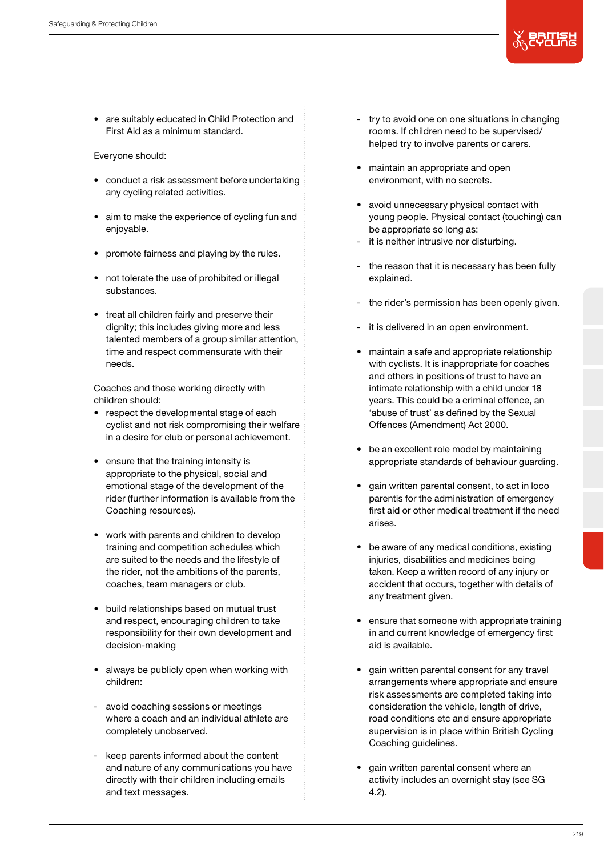

• are suitably educated in Child Protection and First Aid as a minimum standard.

# Everyone should:

- conduct a risk assessment before undertaking any cycling related activities.
- aim to make the experience of cycling fun and enjoyable.
- promote fairness and playing by the rules.
- not tolerate the use of prohibited or illegal substances.
- treat all children fairly and preserve their dignity; this includes giving more and less talented members of a group similar attention. time and respect commensurate with their needs.

Coaches and those working directly with children should:

- respect the developmental stage of each cyclist and not risk compromising their welfare in a desire for club or personal achievement.
- ensure that the training intensity is appropriate to the physical, social and emotional stage of the development of the rider (further information is available from the Coaching resources).
- work with parents and children to develop training and competition schedules which are suited to the needs and the lifestyle of the rider, not the ambitions of the parents, coaches, team managers or club.
- build relationships based on mutual trust and respect, encouraging children to take responsibility for their own development and decision-making
- always be publicly open when working with children:
- avoid coaching sessions or meetings where a coach and an individual athlete are completely unobserved.
- keep parents informed about the content and nature of any communications you have directly with their children including emails and text messages.
- try to avoid one on one situations in changing rooms. If children need to be supervised/ helped try to involve parents or carers.
- maintain an appropriate and open environment, with no secrets.
- avoid unnecessary physical contact with young people. Physical contact (touching) can be appropriate so long as:
- it is neither intrusive nor disturbing.
- the reason that it is necessary has been fully explained.
- the rider's permission has been openly given.
- it is delivered in an open environment.
- maintain a safe and appropriate relationship with cyclists. It is inappropriate for coaches and others in positions of trust to have an intimate relationship with a child under 18 years. This could be a criminal offence, an 'abuse of trust' as defined by the Sexual Offences (Amendment) Act 2000.
- be an excellent role model by maintaining appropriate standards of behaviour guarding.
- gain written parental consent, to act in loco parentis for the administration of emergency first aid or other medical treatment if the need arises.
- be aware of any medical conditions, existing injuries, disabilities and medicines being taken. Keep a written record of any injury or accident that occurs, together with details of any treatment given.
- ensure that someone with appropriate training in and current knowledge of emergency first aid is available.
- gain written parental consent for any travel arrangements where appropriate and ensure risk assessments are completed taking into consideration the vehicle, length of drive, road conditions etc and ensure appropriate supervision is in place within British Cycling Coaching guidelines.
- gain written parental consent where an activity includes an overnight stay (see SG 4.2).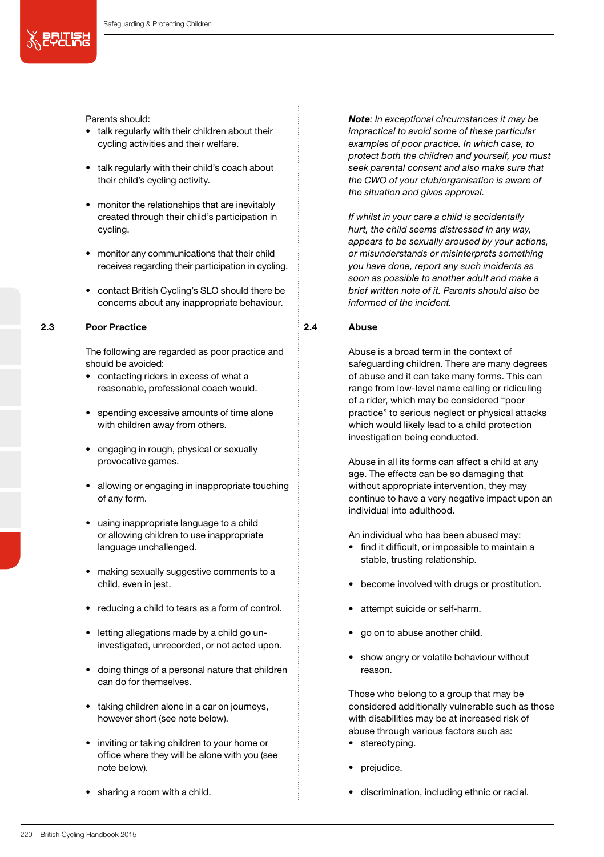Parents should:

 $\mathbb{X}$  portial

- talk regularly with their children about their cycling activities and their welfare.
- talk regularly with their child's coach about their child's cycling activity.
- monitor the relationships that are inevitably created through their child's participation in cycling.
- monitor any communications that their child receives regarding their participation in cycling.
- contact British Cycling's SLO should there be concerns about any inappropriate behaviour.

# 2.3 Poor Practice

The following are regarded as poor practice and should be avoided:

- contacting riders in excess of what a reasonable, professional coach would.
- spending excessive amounts of time alone with children away from others.
- engaging in rough, physical or sexually provocative games.
- allowing or engaging in inappropriate touching of any form.
- using inappropriate language to a child or allowing children to use inappropriate language unchallenged.
- making sexually suggestive comments to a child, even in jest.
- reducing a child to tears as a form of control.
- letting allegations made by a child go uninvestigated, unrecorded, or not acted upon.
- doing things of a personal nature that children can do for themselves.
- taking children alone in a car on journeys, however short (see note below).
- inviting or taking children to your home or office where they will be alone with you (see note below).
- sharing a room with a child.

*Note: In exceptional circumstances it may be impractical to avoid some of these particular examples of poor practice. In which case, to protect both the children and yourself, you must seek parental consent and also make sure that the CWO of your club/organisation is aware of the situation and gives approval.*

*If whilst in your care a child is accidentally hurt, the child seems distressed in any way, appears to be sexually aroused by your actions, or misunderstands or misinterprets something you have done, report any such incidents as soon as possible to another adult and make a brief written note of it. Parents should also be informed of the incident.*

# 2.4 Abuse

Abuse is a broad term in the context of safeguarding children. There are many degrees of abuse and it can take many forms. This can range from low-level name calling or ridiculing of a rider, which may be considered "poor practice" to serious neglect or physical attacks which would likely lead to a child protection investigation being conducted.

Abuse in all its forms can affect a child at any age. The effects can be so damaging that without appropriate intervention, they may continue to have a very negative impact upon an individual into adulthood.

An individual who has been abused may:

- find it difficult, or impossible to maintain a stable, trusting relationship.
- become involved with drugs or prostitution.
- attempt suicide or self-harm.
- go on to abuse another child.
- show angry or volatile behaviour without reason.

Those who belong to a group that may be considered additionally vulnerable such as those with disabilities may be at increased risk of abuse through various factors such as:

- stereotyping.
- prejudice.
- discrimination, including ethnic or racial.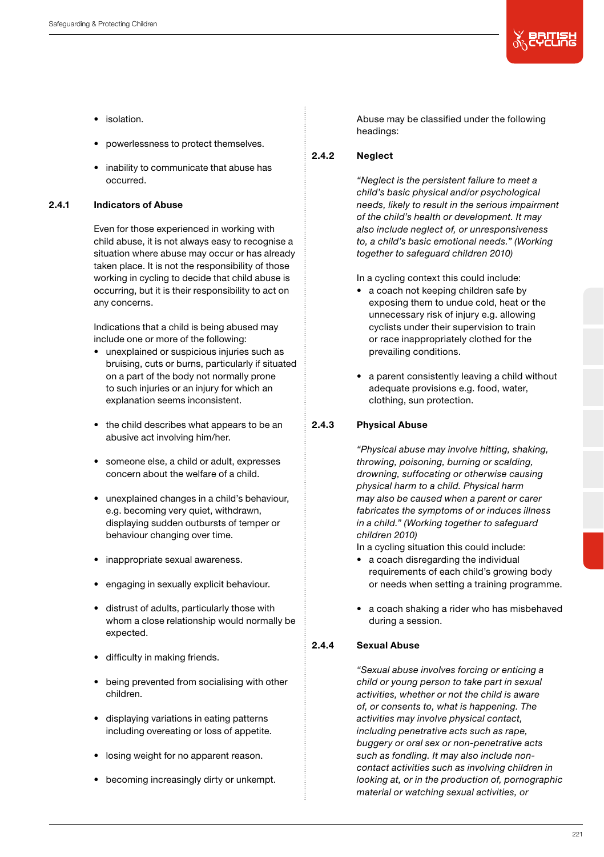

- isolation.
- powerlessness to protect themselves.
- inability to communicate that abuse has occurred.

# 2.4.1 Indicators of Abuse

Even for those experienced in working with child abuse, it is not always easy to recognise a situation where abuse may occur or has already taken place. It is not the responsibility of those working in cycling to decide that child abuse is occurring, but it is their responsibility to act on any concerns.

Indications that a child is being abused may include one or more of the following:

- unexplained or suspicious injuries such as bruising, cuts or burns, particularly if situated on a part of the body not normally prone to such injuries or an injury for which an explanation seems inconsistent.
- the child describes what appears to be an abusive act involving him/her.
- someone else, a child or adult, expresses concern about the welfare of a child.
- unexplained changes in a child's behaviour, e.g. becoming very quiet, withdrawn, displaying sudden outbursts of temper or behaviour changing over time.
- inappropriate sexual awareness.
- engaging in sexually explicit behaviour.
- distrust of adults, particularly those with whom a close relationship would normally be expected.
- difficulty in making friends.
- being prevented from socialising with other children.
- displaying variations in eating patterns including overeating or loss of appetite.
- losing weight for no apparent reason.
- becoming increasingly dirty or unkempt.

Abuse may be classified under the following headings:

# 2.4.2 Neglect

*"Neglect is the persistent failure to meet a child's basic physical and/or psychological needs, likely to result in the serious impairment of the child's health or development. It may also include neglect of, or unresponsiveness to, a child's basic emotional needs." (Working together to safeguard children 2010)*

In a cycling context this could include:

- a coach not keeping children safe by exposing them to undue cold, heat or the unnecessary risk of injury e.g. allowing cyclists under their supervision to train or race inappropriately clothed for the prevailing conditions.
- a parent consistently leaving a child without adequate provisions e.g. food, water, clothing, sun protection.

# 2.4.3 Physical Abuse

*"Physical abuse may involve hitting, shaking, throwing, poisoning, burning or scalding, drowning, suffocating or otherwise causing physical harm to a child. Physical harm may also be caused when a parent or carer fabricates the symptoms of or induces illness in a child." (Working together to safeguard children 2010)*

In a cycling situation this could include:

- a coach disregarding the individual requirements of each child's growing body or needs when setting a training programme.
- a coach shaking a rider who has misbehaved during a session.

# 2.4.4 Sexual Abuse

*"Sexual abuse involves forcing or enticing a child or young person to take part in sexual activities, whether or not the child is aware of, or consents to, what is happening. The activities may involve physical contact, including penetrative acts such as rape, buggery or oral sex or non-penetrative acts such as fondling. It may also include noncontact activities such as involving children in looking at, or in the production of, pornographic material or watching sexual activities, or*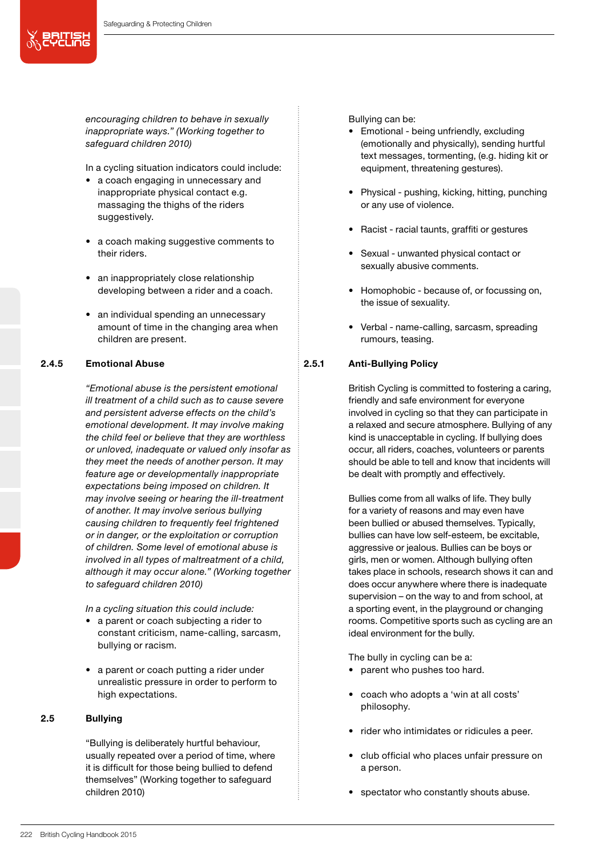

*encouraging children to behave in sexually inappropriate ways." (Working together to safeguard children 2010)*

In a cycling situation indicators could include:

- a coach engaging in unnecessary and inappropriate physical contact e.g. massaging the thighs of the riders suggestively.
- a coach making suggestive comments to their riders.
- an inappropriately close relationship developing between a rider and a coach.
- an individual spending an unnecessary amount of time in the changing area when children are present.

# 2.4.5 Emotional Abuse

*"Emotional abuse is the persistent emotional ill treatment of a child such as to cause severe and persistent adverse effects on the child's emotional development. It may involve making the child feel or believe that they are worthless or unloved, inadequate or valued only insofar as they meet the needs of another person. It may feature age or developmentally inappropriate expectations being imposed on children. It may involve seeing or hearing the ill-treatment of another. It may involve serious bullying causing children to frequently feel frightened or in danger, or the exploitation or corruption of children. Some level of emotional abuse is involved in all types of maltreatment of a child, although it may occur alone." (Working together to safeguard children 2010)*

*In a cycling situation this could include:*

- a parent or coach subjecting a rider to constant criticism, name-calling, sarcasm, bullying or racism.
- a parent or coach putting a rider under unrealistic pressure in order to perform to high expectations.

# 2.5 Bullying

"Bullying is deliberately hurtful behaviour, usually repeated over a period of time, where it is difficult for those being bullied to defend themselves" (Working together to safeguard children 2010)

Bullying can be:

- Emotional being unfriendly, excluding (emotionally and physically), sending hurtful text messages, tormenting, (e.g. hiding kit or equipment, threatening gestures).
- Physical pushing, kicking, hitting, punching or any use of violence.
- Racist racial taunts, graffiti or gestures
- Sexual unwanted physical contact or sexually abusive comments.
- Homophobic because of, or focussing on, the issue of sexuality.
- Verbal name-calling, sarcasm, spreading rumours, teasing.

# 2.5.1 Anti-Bullying Policy

British Cycling is committed to fostering a caring, friendly and safe environment for everyone involved in cycling so that they can participate in a relaxed and secure atmosphere. Bullying of any kind is unacceptable in cycling. If bullying does occur, all riders, coaches, volunteers or parents should be able to tell and know that incidents will be dealt with promptly and effectively.

Bullies come from all walks of life. They bully for a variety of reasons and may even have been bullied or abused themselves. Typically, bullies can have low self-esteem, be excitable, aggressive or jealous. Bullies can be boys or girls, men or women. Although bullying often takes place in schools, research shows it can and does occur anywhere where there is inadequate supervision – on the way to and from school, at a sporting event, in the playground or changing rooms. Competitive sports such as cycling are an ideal environment for the bully.

The bully in cycling can be a:

- parent who pushes too hard.
- coach who adopts a 'win at all costs' philosophy.
- rider who intimidates or ridicules a peer.
- club official who places unfair pressure on a person.
- spectator who constantly shouts abuse.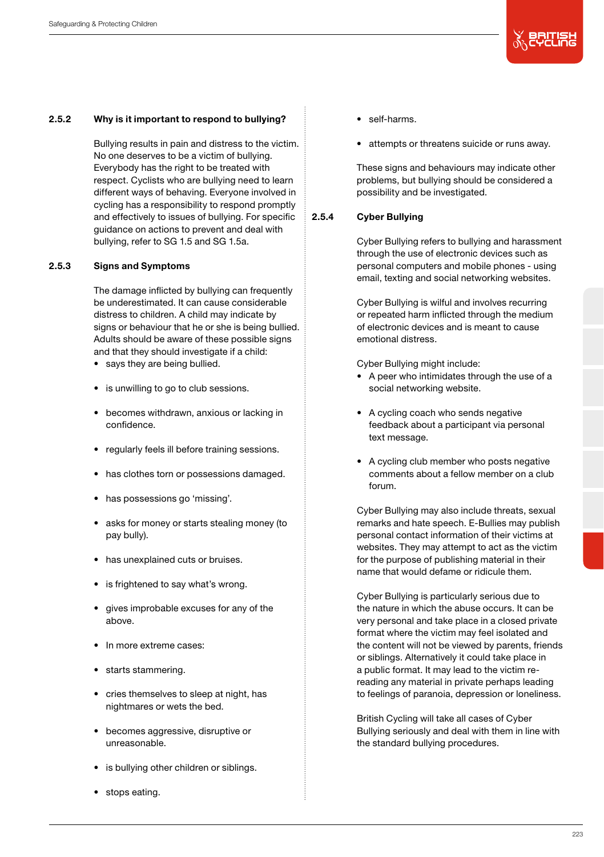

# 2.5.2 Why is it important to respond to bullying?

Bullying results in pain and distress to the victim. No one deserves to be a victim of bullying. Everybody has the right to be treated with respect. Cyclists who are bullying need to learn different ways of behaving. Everyone involved in cycling has a responsibility to respond promptly and effectively to issues of bullying. For specific guidance on actions to prevent and deal with bullying, refer to SG 1.5 and SG 1.5a.

#### 2.5.3 Signs and Symptoms

The damage inflicted by bullying can frequently be underestimated. It can cause considerable distress to children. A child may indicate by signs or behaviour that he or she is being bullied. Adults should be aware of these possible signs and that they should investigate if a child:

- says they are being bullied.
- is unwilling to go to club sessions.
- becomes withdrawn, anxious or lacking in confidence.
- regularly feels ill before training sessions.
- has clothes torn or possessions damaged.
- has possessions go 'missing'.
- asks for money or starts stealing money (to pay bully).
- has unexplained cuts or bruises.
- is frightened to say what's wrong.
- gives improbable excuses for any of the above.
- In more extreme cases:
- starts stammering.
- cries themselves to sleep at night, has nightmares or wets the bed.
- becomes aggressive, disruptive or unreasonable.
- is bullying other children or siblings.
- stops eating.
- self-harms.
- attempts or threatens suicide or runs away.

These signs and behaviours may indicate other problems, but bullying should be considered a possibility and be investigated.

## 2.5.4 Cyber Bullying

Cyber Bullying refers to bullying and harassment through the use of electronic devices such as personal computers and mobile phones - using email, texting and social networking websites.

Cyber Bullying is wilful and involves recurring or repeated harm inflicted through the medium of electronic devices and is meant to cause emotional distress.

Cyber Bullying might include:

- A peer who intimidates through the use of a social networking website.
- A cycling coach who sends negative feedback about a participant via personal text message.
- A cycling club member who posts negative comments about a fellow member on a club forum.

Cyber Bullying may also include threats, sexual remarks and hate speech. E-Bullies may publish personal contact information of their victims at websites. They may attempt to act as the victim for the purpose of publishing material in their name that would defame or ridicule them.

Cyber Bullying is particularly serious due to the nature in which the abuse occurs. It can be very personal and take place in a closed private format where the victim may feel isolated and the content will not be viewed by parents, friends or siblings. Alternatively it could take place in a public format. It may lead to the victim rereading any material in private perhaps leading to feelings of paranoia, depression or loneliness.

British Cycling will take all cases of Cyber Bullying seriously and deal with them in line with the standard bullying procedures.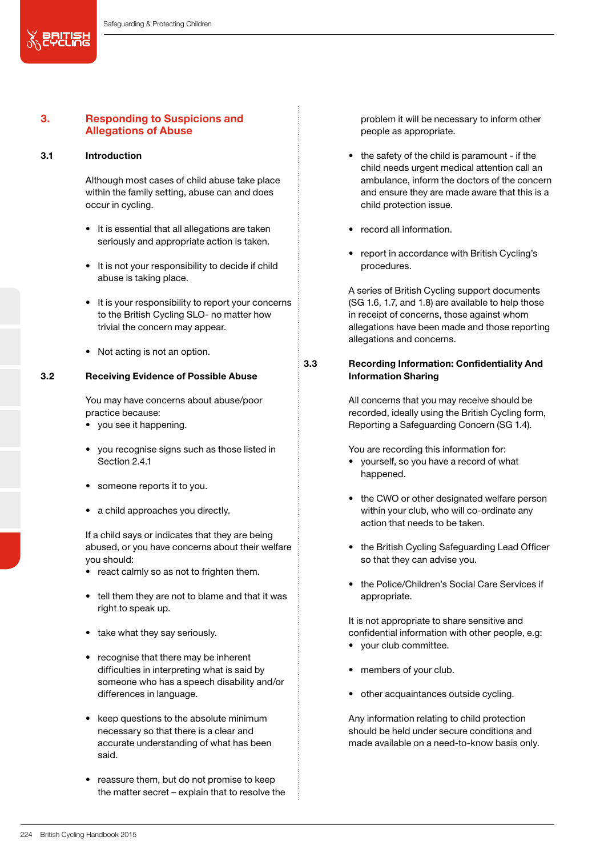# 3. Responding to Suspicions and Allegations of Abuse

### 3.1 Introduction

义思出品

Although most cases of child abuse take place within the family setting, abuse can and does occur in cycling.

- It is essential that all allegations are taken seriously and appropriate action is taken.
- It is not your responsibility to decide if child abuse is taking place.
- It is your responsibility to report your concerns to the British Cycling SLO- no matter how trivial the concern may appear.
- Not acting is not an option.

#### 3.2 Receiving Evidence of Possible Abuse

You may have concerns about abuse/poor practice because:

- you see it happening.
- you recognise signs such as those listed in Section 2.41
- someone reports it to you.
- a child approaches you directly.

If a child says or indicates that they are being abused, or you have concerns about their welfare you should:

- react calmly so as not to frighten them.
- tell them they are not to blame and that it was right to speak up.
- take what they say seriously.
- recognise that there may be inherent difficulties in interpreting what is said by someone who has a speech disability and/or differences in language.
- keep questions to the absolute minimum necessary so that there is a clear and accurate understanding of what has been said.
- reassure them, but do not promise to keep the matter secret – explain that to resolve the

problem it will be necessary to inform other people as appropriate.

- the safety of the child is paramount if the child needs urgent medical attention call an ambulance, inform the doctors of the concern and ensure they are made aware that this is a child protection issue.
- record all information.
- report in accordance with British Cycling's procedures.

A series of British Cycling support documents (SG 1.6, 1.7, and 1.8) are available to help those in receipt of concerns, those against whom allegations have been made and those reporting allegations and concerns.

# 3.3 Recording Information: Confidentiality And Information Sharing

All concerns that you may receive should be recorded, ideally using the British Cycling form, Reporting a Safeguarding Concern (SG 1.4).

You are recording this information for:

- yourself, so you have a record of what happened.
- the CWO or other designated welfare person within your club, who will co-ordinate any action that needs to be taken.
- the British Cycling Safeguarding Lead Officer so that they can advise you.
- the Police/Children's Social Care Services if appropriate.

It is not appropriate to share sensitive and confidential information with other people, e.g:

- your club committee.
- members of your club.
- other acquaintances outside cycling.

Any information relating to child protection should be held under secure conditions and made available on a need-to-know basis only.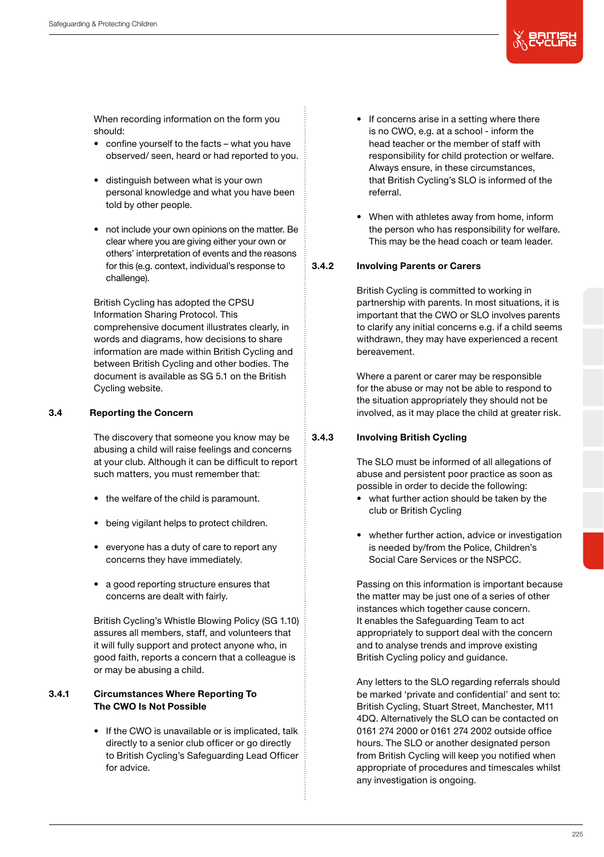When recording information on the form you should:

- confine yourself to the facts what you have observed/ seen, heard or had reported to you.
- distinguish between what is your own personal knowledge and what you have been told by other people.
- not include your own opinions on the matter. Be clear where you are giving either your own or others' interpretation of events and the reasons for this (e.g. context, individual's response to challenge).

British Cycling has adopted the CPSU Information Sharing Protocol. This comprehensive document illustrates clearly, in words and diagrams, how decisions to share information are made within British Cycling and between British Cycling and other bodies. The document is available as SG 5.1 on the British Cycling website.

# 3.4 Reporting the Concern

The discovery that someone you know may be abusing a child will raise feelings and concerns at your club. Although it can be difficult to report such matters, you must remember that:

- the welfare of the child is paramount.
- being vigilant helps to protect children.
- everyone has a duty of care to report any concerns they have immediately.
- a good reporting structure ensures that concerns are dealt with fairly.

British Cycling's Whistle Blowing Policy (SG 1.10) assures all members, staff, and volunteers that it will fully support and protect anyone who, in good faith, reports a concern that a colleague is or may be abusing a child.

# 3.4.1 Circumstances Where Reporting To The CWO Is Not Possible

• If the CWO is unavailable or is implicated, talk directly to a senior club officer or go directly to British Cycling's Safeguarding Lead Officer for advice.

- If concerns arise in a setting where there is no CWO, e.g. at a school - inform the head teacher or the member of staff with responsibility for child protection or welfare. Always ensure, in these circumstances, that British Cycling's SLO is informed of the referral.
- When with athletes away from home, inform the person who has responsibility for welfare. This may be the head coach or team leader.

# 3.4.2 Involving Parents or Carers

British Cycling is committed to working in partnership with parents. In most situations, it is important that the CWO or SLO involves parents to clarify any initial concerns e.g. if a child seems withdrawn, they may have experienced a recent bereavement.

Where a parent or carer may be responsible for the abuse or may not be able to respond to the situation appropriately they should not be involved, as it may place the child at greater risk.

# 3.4.3 Involving British Cycling

The SLO must be informed of all allegations of abuse and persistent poor practice as soon as possible in order to decide the following:

- what further action should be taken by the club or British Cycling
- whether further action, advice or investigation is needed by/from the Police, Children's Social Care Services or the NSPCC.

Passing on this information is important because the matter may be just one of a series of other instances which together cause concern. It enables the Safeguarding Team to act appropriately to support deal with the concern and to analyse trends and improve existing British Cycling policy and guidance.

Any letters to the SLO regarding referrals should be marked 'private and confidential' and sent to: British Cycling, Stuart Street, Manchester, M11 4DQ. Alternatively the SLO can be contacted on 0161 274 2000 or 0161 274 2002 outside office hours. The SLO or another designated person from British Cycling will keep you notified when appropriate of procedures and timescales whilst any investigation is ongoing.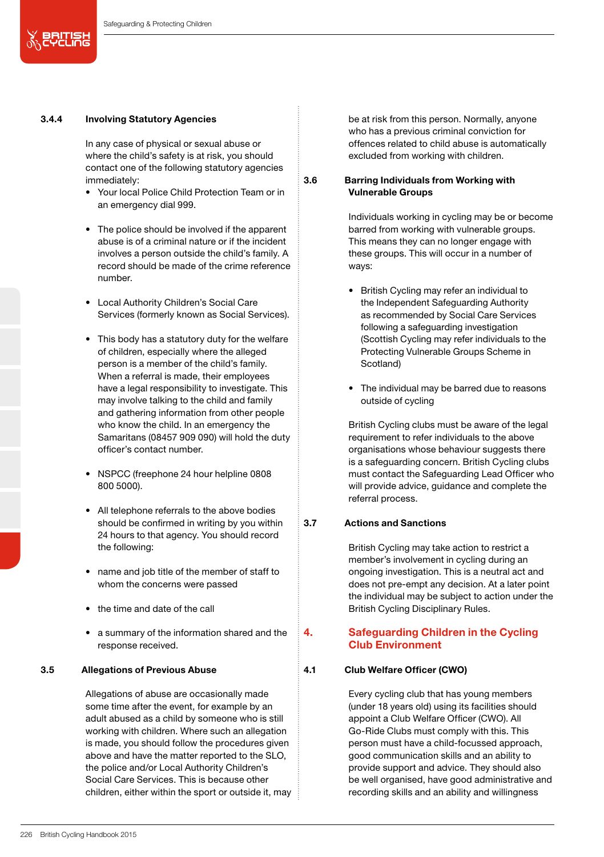# 3.4.4 Involving Statutory Agencies

In any case of physical or sexual abuse or where the child's safety is at risk, you should contact one of the following statutory agencies immediately:

- Your local Police Child Protection Team or in an emergency dial 999.
- The police should be involved if the apparent abuse is of a criminal nature or if the incident involves a person outside the child's family. A record should be made of the crime reference number.
- Local Authority Children's Social Care Services (formerly known as Social Services).
- This body has a statutory duty for the welfare of children, especially where the alleged person is a member of the child's family. When a referral is made, their employees have a legal responsibility to investigate. This may involve talking to the child and family and gathering information from other people who know the child. In an emergency the Samaritans (08457 909 090) will hold the duty officer's contact number.
- NSPCC (freephone 24 hour helpline 0808 800 5000).
- All telephone referrals to the above bodies should be confirmed in writing by you within 24 hours to that agency. You should record the following:
- name and job title of the member of staff to whom the concerns were passed
- the time and date of the call
- a summary of the information shared and the response received.

#### 3.5 Allegations of Previous Abuse

Allegations of abuse are occasionally made some time after the event, for example by an adult abused as a child by someone who is still working with children. Where such an allegation is made, you should follow the procedures given above and have the matter reported to the SLO, the police and/or Local Authority Children's Social Care Services. This is because other children, either within the sport or outside it, may be at risk from this person. Normally, anyone who has a previous criminal conviction for offences related to child abuse is automatically excluded from working with children.

### 3.6 Barring Individuals from Working with Vulnerable Groups

Individuals working in cycling may be or become barred from working with vulnerable groups. This means they can no longer engage with these groups. This will occur in a number of ways:

- British Cycling may refer an individual to the Independent Safeguarding Authority as recommended by Social Care Services following a safeguarding investigation (Scottish Cycling may refer individuals to the Protecting Vulnerable Groups Scheme in Scotland)
- The individual may be barred due to reasons outside of cycling

British Cycling clubs must be aware of the legal requirement to refer individuals to the above organisations whose behaviour suggests there is a safeguarding concern. British Cycling clubs must contact the Safeguarding Lead Officer who will provide advice, guidance and complete the referral process.

#### 3.7 Actions and Sanctions

British Cycling may take action to restrict a member's involvement in cycling during an ongoing investigation. This is a neutral act and does not pre-empt any decision. At a later point the individual may be subject to action under the British Cycling Disciplinary Rules.

# 4. Safeguarding Children in the Cycling Club Environment

### 4.1 Club Welfare Officer (CWO)

Every cycling club that has young members (under 18 years old) using its facilities should appoint a Club Welfare Officer (CWO). All Go-Ride Clubs must comply with this. This person must have a child-focussed approach, good communication skills and an ability to provide support and advice. They should also be well organised, have good administrative and recording skills and an ability and willingness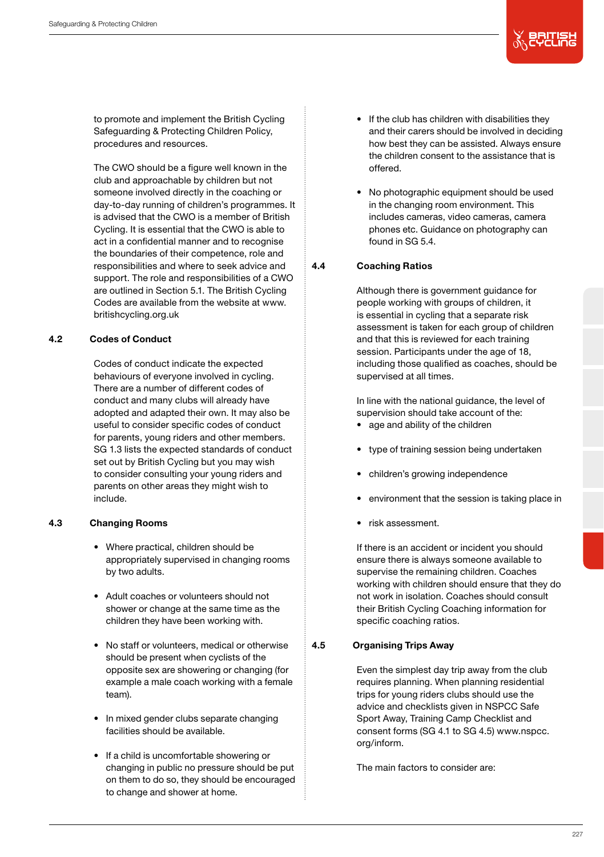

to promote and implement the British Cycling Safeguarding & Protecting Children Policy, procedures and resources.

The CWO should be a figure well known in the club and approachable by children but not someone involved directly in the coaching or day-to-day running of children's programmes. It is advised that the CWO is a member of British Cycling. It is essential that the CWO is able to act in a confidential manner and to recognise the boundaries of their competence, role and responsibilities and where to seek advice and support. The role and responsibilities of a CWO are outlined in Section 5.1. The British Cycling Codes are available from the website at www. britishcycling.org.uk

# 4.2 Codes of Conduct

Codes of conduct indicate the expected behaviours of everyone involved in cycling. There are a number of different codes of conduct and many clubs will already have adopted and adapted their own. It may also be useful to consider specific codes of conduct for parents, young riders and other members. SG 1.3 lists the expected standards of conduct set out by British Cycling but you may wish to consider consulting your young riders and parents on other areas they might wish to include.

#### 4.3 Changing Rooms

- Where practical, children should be appropriately supervised in changing rooms by two adults.
- Adult coaches or volunteers should not shower or change at the same time as the children they have been working with.
- No staff or volunteers, medical or otherwise should be present when cyclists of the opposite sex are showering or changing (for example a male coach working with a female team).
- In mixed gender clubs separate changing facilities should be available.
- If a child is uncomfortable showering or changing in public no pressure should be put on them to do so, they should be encouraged to change and shower at home.
- If the club has children with disabilities they and their carers should be involved in deciding how best they can be assisted. Always ensure the children consent to the assistance that is offered.
- No photographic equipment should be used in the changing room environment. This includes cameras, video cameras, camera phones etc. Guidance on photography can found in SG 5.4.

# 4.4 Coaching Ratios

Although there is government guidance for people working with groups of children, it is essential in cycling that a separate risk assessment is taken for each group of children and that this is reviewed for each training session. Participants under the age of 18, including those qualified as coaches, should be supervised at all times.

In line with the national guidance, the level of supervision should take account of the:

- age and ability of the children
- type of training session being undertaken
- children's growing independence
- environment that the session is taking place in
- risk assessment.

If there is an accident or incident you should ensure there is always someone available to supervise the remaining children. Coaches working with children should ensure that they do not work in isolation. Coaches should consult their British Cycling Coaching information for specific coaching ratios.

#### 4.5 Organising Trips Away

Even the simplest day trip away from the club requires planning. When planning residential trips for young riders clubs should use the advice and checklists given in NSPCC Safe Sport Away, Training Camp Checklist and consent forms (SG 4.1 to SG 4.5) www.nspcc. org/inform.

The main factors to consider are: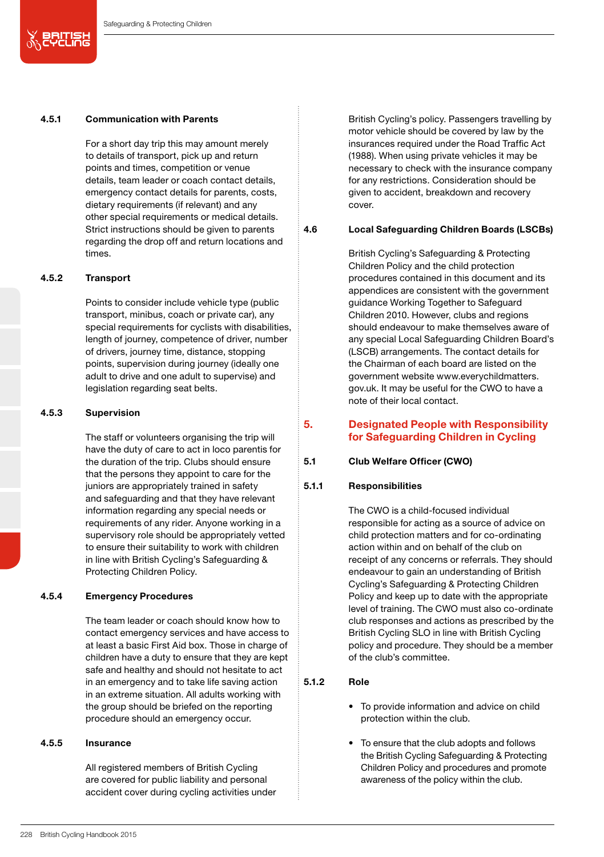#### 4.5.1 Communication with Parents

For a short day trip this may amount merely to details of transport, pick up and return points and times, competition or venue details, team leader or coach contact details, emergency contact details for parents, costs, dietary requirements (if relevant) and any other special requirements or medical details. Strict instructions should be given to parents regarding the drop off and return locations and times.

### 4.5.2 Transport

义思尔思

Points to consider include vehicle type (public transport, minibus, coach or private car), any special requirements for cyclists with disabilities, length of journey, competence of driver, number of drivers, journey time, distance, stopping points, supervision during journey (ideally one adult to drive and one adult to supervise) and legislation regarding seat belts.

#### 4.5.3 Supervision

The staff or volunteers organising the trip will have the duty of care to act in loco parentis for the duration of the trip. Clubs should ensure that the persons they appoint to care for the juniors are appropriately trained in safety and safeguarding and that they have relevant information regarding any special needs or requirements of any rider. Anyone working in a supervisory role should be appropriately vetted to ensure their suitability to work with children in line with British Cycling's Safeguarding & Protecting Children Policy.

### 4.5.4 Emergency Procedures

The team leader or coach should know how to contact emergency services and have access to at least a basic First Aid box. Those in charge of children have a duty to ensure that they are kept safe and healthy and should not hesitate to act in an emergency and to take life saving action in an extreme situation. All adults working with the group should be briefed on the reporting procedure should an emergency occur.

### 4.5.5 Insurance

All registered members of British Cycling are covered for public liability and personal accident cover during cycling activities under British Cycling's policy. Passengers travelling by motor vehicle should be covered by law by the insurances required under the Road Traffic Act (1988). When using private vehicles it may be necessary to check with the insurance company for any restrictions. Consideration should be given to accident, breakdown and recovery cover.

#### 4.6 Local Safeguarding Children Boards (LSCBs)

British Cycling's Safeguarding & Protecting Children Policy and the child protection procedures contained in this document and its appendices are consistent with the government guidance Working Together to Safeguard Children 2010. However, clubs and regions should endeavour to make themselves aware of any special Local Safeguarding Children Board's (LSCB) arrangements. The contact details for the Chairman of each board are listed on the government website www.everychildmatters. gov.uk. It may be useful for the CWO to have a note of their local contact.

# 5. Designated People with Responsibility for Safeguarding Children in Cycling

#### 5.1 Club Welfare Officer (CWO)

# 5.1.1 Responsibilities

The CWO is a child-focused individual responsible for acting as a source of advice on child protection matters and for co-ordinating action within and on behalf of the club on receipt of any concerns or referrals. They should endeavour to gain an understanding of British Cycling's Safeguarding & Protecting Children Policy and keep up to date with the appropriate level of training. The CWO must also co-ordinate club responses and actions as prescribed by the British Cycling SLO in line with British Cycling policy and procedure. They should be a member of the club's committee.

# 5.1.2 Role

- To provide information and advice on child protection within the club.
- To ensure that the club adopts and follows the British Cycling Safeguarding & Protecting Children Policy and procedures and promote awareness of the policy within the club.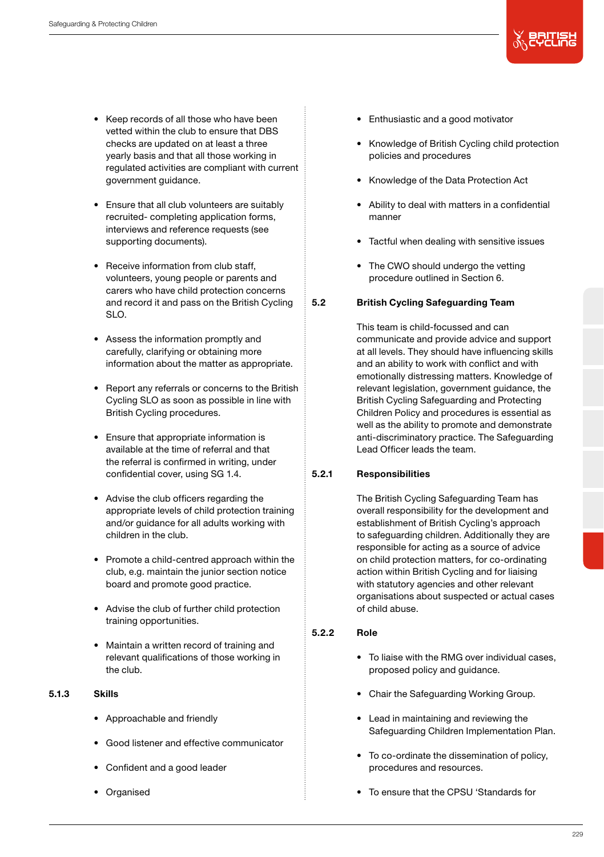- Keep records of all those who have been vetted within the club to ensure that DBS checks are updated on at least a three yearly basis and that all those working in regulated activities are compliant with current government guidance.
- Ensure that all club volunteers are suitably recruited- completing application forms, interviews and reference requests (see supporting documents).
- Receive information from club staff. volunteers, young people or parents and carers who have child protection concerns and record it and pass on the British Cycling SLO.
- Assess the information promptly and carefully, clarifying or obtaining more information about the matter as appropriate.
- Report any referrals or concerns to the British Cycling SLO as soon as possible in line with British Cycling procedures.
- Ensure that appropriate information is available at the time of referral and that the referral is confirmed in writing, under confidential cover, using SG 1.4.
- Advise the club officers regarding the appropriate levels of child protection training and/or guidance for all adults working with children in the club.
- Promote a child-centred approach within the club, e.g. maintain the junior section notice board and promote good practice.
- Advise the club of further child protection training opportunities.
- Maintain a written record of training and relevant qualifications of those working in the club.
- 5.1.3 Skills
	- Approachable and friendly
	- Good listener and effective communicator
	- Confident and a good leader
	- Organised
- Enthusiastic and a good motivator
- Knowledge of British Cycling child protection policies and procedures
- Knowledge of the Data Protection Act
- Ability to deal with matters in a confidential manner
- Tactful when dealing with sensitive issues
- The CWO should undergo the vetting procedure outlined in Section 6.

# 5.2 British Cycling Safeguarding Team

This team is child-focussed and can communicate and provide advice and support at all levels. They should have influencing skills and an ability to work with conflict and with emotionally distressing matters. Knowledge of relevant legislation, government guidance, the British Cycling Safeguarding and Protecting Children Policy and procedures is essential as well as the ability to promote and demonstrate anti-discriminatory practice. The Safeguarding Lead Officer leads the team.

# 5.2.1 Responsibilities

The British Cycling Safeguarding Team has overall responsibility for the development and establishment of British Cycling's approach to safeguarding children. Additionally they are responsible for acting as a source of advice on child protection matters, for co-ordinating action within British Cycling and for liaising with statutory agencies and other relevant organisations about suspected or actual cases of child abuse.

# 5.2.2 Role

- To liaise with the RMG over individual cases, proposed policy and guidance.
- Chair the Safeguarding Working Group.
- Lead in maintaining and reviewing the Safeguarding Children Implementation Plan.
- To co-ordinate the dissemination of policy, procedures and resources.
- To ensure that the CPSU 'Standards for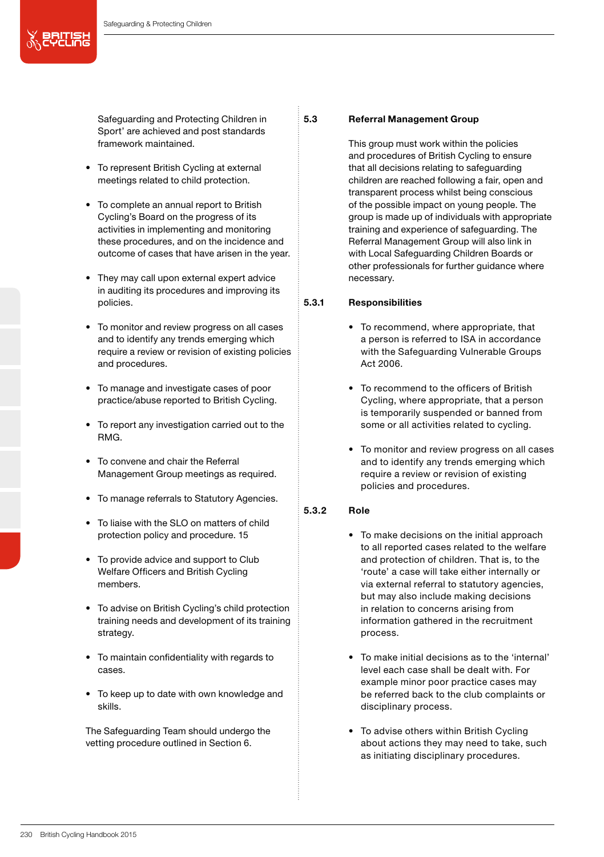Safeguarding and Protecting Children in Sport' are achieved and post standards framework maintained.

- To represent British Cycling at external meetings related to child protection.
- To complete an annual report to British Cycling's Board on the progress of its activities in implementing and monitoring these procedures, and on the incidence and outcome of cases that have arisen in the year.
- They may call upon external expert advice in auditing its procedures and improving its policies.
- To monitor and review progress on all cases and to identify any trends emerging which require a review or revision of existing policies and procedures.
- To manage and investigate cases of poor practice/abuse reported to British Cycling.
- To report any investigation carried out to the RMG.
- To convene and chair the Referral Management Group meetings as required.
- To manage referrals to Statutory Agencies.
- To liaise with the SLO on matters of child protection policy and procedure. 15
- To provide advice and support to Club Welfare Officers and British Cycling members.
- To advise on British Cycling's child protection training needs and development of its training strategy.
- To maintain confidentiality with regards to cases.
- To keep up to date with own knowledge and skills.

The Safeguarding Team should undergo the vetting procedure outlined in Section 6.

# 5.3 Referral Management Group

This group must work within the policies and procedures of British Cycling to ensure that all decisions relating to safeguarding children are reached following a fair, open and transparent process whilst being conscious of the possible impact on young people. The group is made up of individuals with appropriate training and experience of safeguarding. The Referral Management Group will also link in with Local Safeguarding Children Boards or other professionals for further guidance where necessary.

# 5.3.1 Responsibilities

- To recommend, where appropriate, that a person is referred to ISA in accordance with the Safeguarding Vulnerable Groups Act 2006.
- To recommend to the officers of British Cycling, where appropriate, that a person is temporarily suspended or banned from some or all activities related to cycling.
- To monitor and review progress on all cases and to identify any trends emerging which require a review or revision of existing policies and procedures.

### 5.3.2 Role

- To make decisions on the initial approach to all reported cases related to the welfare and protection of children. That is, to the 'route' a case will take either internally or via external referral to statutory agencies, but may also include making decisions in relation to concerns arising from information gathered in the recruitment process.
- To make initial decisions as to the 'internal' level each case shall be dealt with. For example minor poor practice cases may be referred back to the club complaints or disciplinary process.
- To advise others within British Cycling about actions they may need to take, such as initiating disciplinary procedures.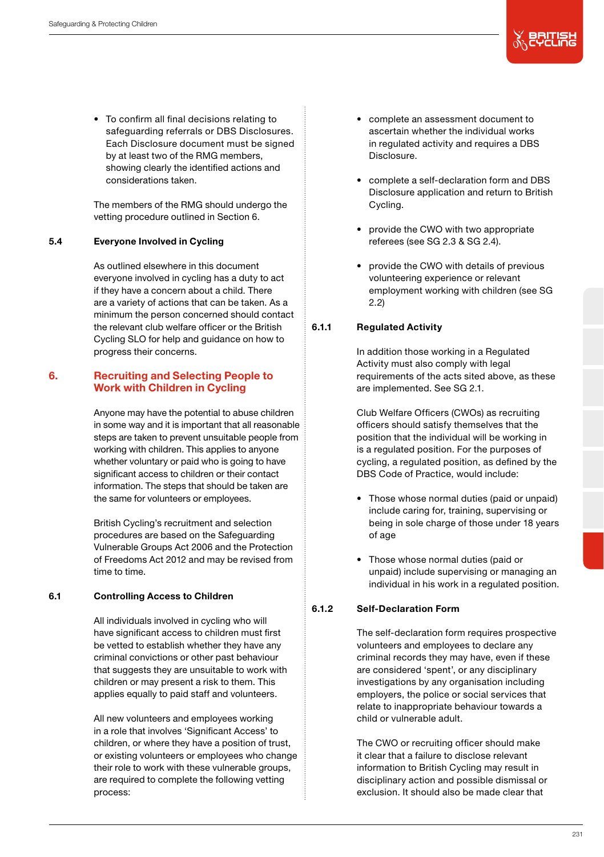• To confirm all final decisions relating to safeguarding referrals or DBS Disclosures. Each Disclosure document must be signed by at least two of the RMG members, showing clearly the identified actions and considerations taken.

The members of the RMG should undergo the vetting procedure outlined in Section 6.

# 5.4 Everyone Involved in Cycling

As outlined elsewhere in this document everyone involved in cycling has a duty to act if they have a concern about a child. There are a variety of actions that can be taken. As a minimum the person concerned should contact the relevant club welfare officer or the British Cycling SLO for help and guidance on how to progress their concerns.

# 6. Recruiting and Selecting People to Work with Children in Cycling

Anyone may have the potential to abuse children in some way and it is important that all reasonable steps are taken to prevent unsuitable people from working with children. This applies to anyone whether voluntary or paid who is going to have significant access to children or their contact information. The steps that should be taken are the same for volunteers or employees.

British Cycling's recruitment and selection procedures are based on the Safeguarding Vulnerable Groups Act 2006 and the Protection of Freedoms Act 2012 and may be revised from time to time.

#### 6.1 Controlling Access to Children

All individuals involved in cycling who will have significant access to children must first be vetted to establish whether they have any criminal convictions or other past behaviour that suggests they are unsuitable to work with children or may present a risk to them. This applies equally to paid staff and volunteers.

All new volunteers and employees working in a role that involves 'Significant Access' to children, or where they have a position of trust, or existing volunteers or employees who change their role to work with these vulnerable groups, are required to complete the following vetting process:

- complete an assessment document to ascertain whether the individual works in regulated activity and requires a DBS Disclosure.
- complete a self-declaration form and DBS Disclosure application and return to British Cycling.
- provide the CWO with two appropriate referees (see SG 2.3 & SG 2.4).
- provide the CWO with details of previous volunteering experience or relevant employment working with children (see SG 2.2)

# 6.1.1 Regulated Activity

In addition those working in a Regulated Activity must also comply with legal requirements of the acts sited above, as these are implemented. See SG 2.1.

Club Welfare Officers (CWOs) as recruiting officers should satisfy themselves that the position that the individual will be working in is a regulated position. For the purposes of cycling, a regulated position, as defined by the DBS Code of Practice, would include:

- Those whose normal duties (paid or unpaid) include caring for, training, supervising or being in sole charge of those under 18 years of age
- Those whose normal duties (paid or unpaid) include supervising or managing an individual in his work in a regulated position.

# 6.1.2 Self-Declaration Form

The self-declaration form requires prospective volunteers and employees to declare any criminal records they may have, even if these are considered 'spent', or any disciplinary investigations by any organisation including employers, the police or social services that relate to inappropriate behaviour towards a child or vulnerable adult.

The CWO or recruiting officer should make it clear that a failure to disclose relevant information to British Cycling may result in disciplinary action and possible dismissal or exclusion. It should also be made clear that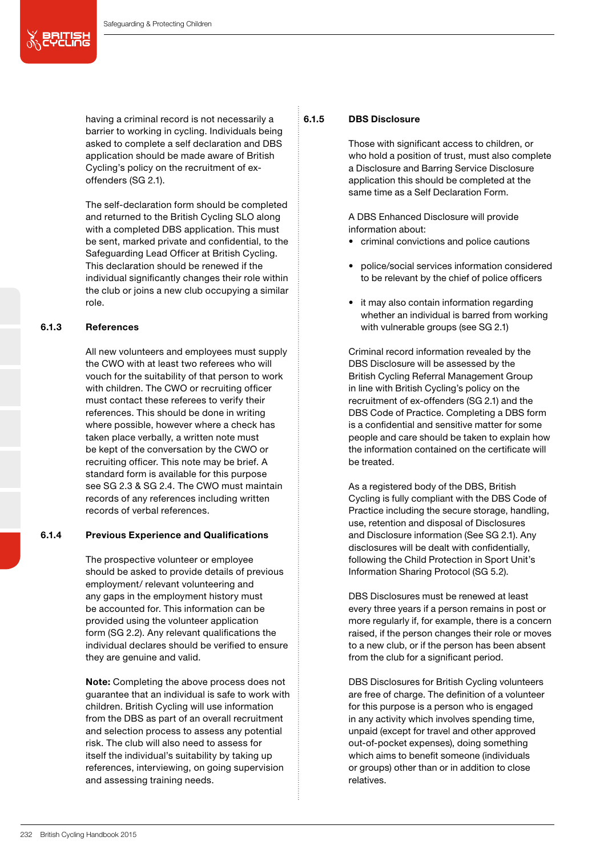having a criminal record is not necessarily a barrier to working in cycling. Individuals being asked to complete a self declaration and DBS application should be made aware of British Cycling's policy on the recruitment of exoffenders (SG 2.1).

The self-declaration form should be completed and returned to the British Cycling SLO along with a completed DBS application. This must be sent, marked private and confidential, to the Safeguarding Lead Officer at British Cycling. This declaration should be renewed if the individual significantly changes their role within the club or joins a new club occupying a similar role.

# 6.1.3 References

All new volunteers and employees must supply the CWO with at least two referees who will vouch for the suitability of that person to work with children. The CWO or recruiting officer must contact these referees to verify their references. This should be done in writing where possible, however where a check has taken place verbally, a written note must be kept of the conversation by the CWO or recruiting officer. This note may be brief. A standard form is available for this purpose see SG 2.3 & SG 2.4. The CWO must maintain records of any references including written records of verbal references.

# 6.1.4 Previous Experience and Qualifications

The prospective volunteer or employee should be asked to provide details of previous employment/ relevant volunteering and any gaps in the employment history must be accounted for. This information can be provided using the volunteer application form (SG 2.2). Any relevant qualifications the individual declares should be verified to ensure they are genuine and valid.

Note: Completing the above process does not guarantee that an individual is safe to work with children. British Cycling will use information from the DBS as part of an overall recruitment and selection process to assess any potential risk. The club will also need to assess for itself the individual's suitability by taking up references, interviewing, on going supervision and assessing training needs.

# 6.1.5 DBS Disclosure

Those with significant access to children, or who hold a position of trust, must also complete a Disclosure and Barring Service Disclosure application this should be completed at the same time as a Self Declaration Form.

A DBS Enhanced Disclosure will provide information about:

- criminal convictions and police cautions
- police/social services information considered to be relevant by the chief of police officers
- it may also contain information regarding whether an individual is barred from working with vulnerable groups (see SG 2.1)

Criminal record information revealed by the DBS Disclosure will be assessed by the British Cycling Referral Management Group in line with British Cycling's policy on the recruitment of ex-offenders (SG 2.1) and the DBS Code of Practice. Completing a DBS form is a confidential and sensitive matter for some people and care should be taken to explain how the information contained on the certificate will be treated.

As a registered body of the DBS, British Cycling is fully compliant with the DBS Code of Practice including the secure storage, handling, use, retention and disposal of Disclosures and Disclosure information (See SG 2.1). Any disclosures will be dealt with confidentially, following the Child Protection in Sport Unit's Information Sharing Protocol (SG 5.2).

DBS Disclosures must be renewed at least every three years if a person remains in post or more regularly if, for example, there is a concern raised, if the person changes their role or moves to a new club, or if the person has been absent from the club for a significant period.

DBS Disclosures for British Cycling volunteers are free of charge. The definition of a volunteer for this purpose is a person who is engaged in any activity which involves spending time, unpaid (except for travel and other approved out-of-pocket expenses), doing something which aims to benefit someone (individuals or groups) other than or in addition to close relatives.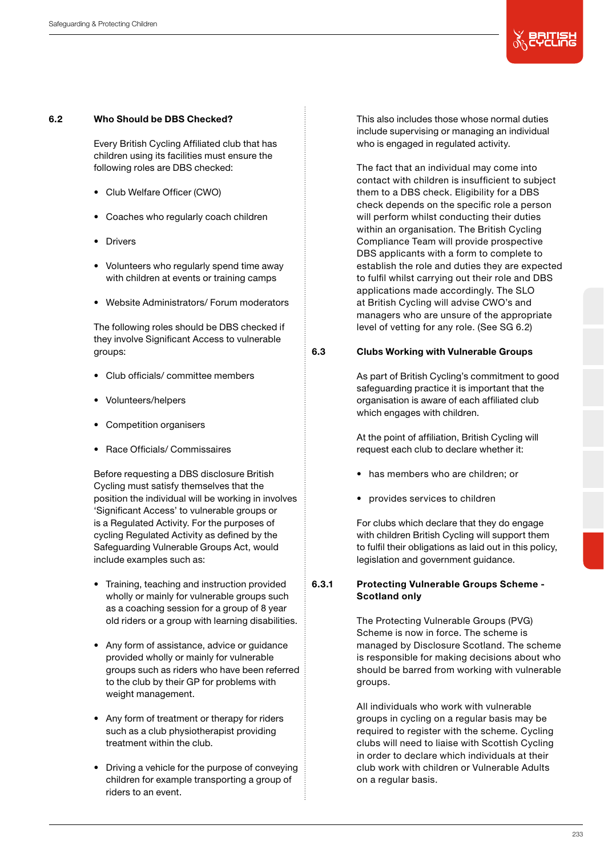

#### 6.2 Who Should be DBS Checked?

Every British Cycling Affiliated club that has children using its facilities must ensure the following roles are DBS checked:

- Club Welfare Officer (CWO)
- Coaches who regularly coach children
- Drivers
- Volunteers who regularly spend time away with children at events or training camps
- Website Administrators/ Forum moderators

The following roles should be DBS checked if they involve Significant Access to vulnerable groups:

- Club officials/ committee members
- Volunteers/helpers
- Competition organisers
- Race Officials/ Commissaires

Before requesting a DBS disclosure British Cycling must satisfy themselves that the position the individual will be working in involves 'Significant Access' to vulnerable groups or is a Regulated Activity. For the purposes of cycling Regulated Activity as defined by the Safeguarding Vulnerable Groups Act, would include examples such as:

- Training, teaching and instruction provided wholly or mainly for vulnerable groups such as a coaching session for a group of 8 year old riders or a group with learning disabilities.
- Any form of assistance, advice or guidance provided wholly or mainly for vulnerable groups such as riders who have been referred to the club by their GP for problems with weight management.
- Any form of treatment or therapy for riders such as a club physiotherapist providing treatment within the club.
- Driving a vehicle for the purpose of conveying children for example transporting a group of riders to an event.

This also includes those whose normal duties include supervising or managing an individual who is engaged in regulated activity.

The fact that an individual may come into contact with children is insufficient to subject them to a DBS check. Eligibility for a DBS check depends on the specific role a person will perform whilst conducting their duties within an organisation. The British Cycling Compliance Team will provide prospective DBS applicants with a form to complete to establish the role and duties they are expected to fulfil whilst carrying out their role and DBS applications made accordingly. The SLO at British Cycling will advise CWO's and managers who are unsure of the appropriate level of vetting for any role. (See SG 6.2)

### 6.3 Clubs Working with Vulnerable Groups

As part of British Cycling's commitment to good safeguarding practice it is important that the organisation is aware of each affiliated club which engages with children.

At the point of affiliation, British Cycling will request each club to declare whether it:

- has members who are children; or
- provides services to children

For clubs which declare that they do engage with children British Cycling will support them to fulfil their obligations as laid out in this policy, legislation and government guidance.

# 6.3.1 Protecting Vulnerable Groups Scheme - Scotland only

The Protecting Vulnerable Groups (PVG) Scheme is now in force. The scheme is managed by Disclosure Scotland. The scheme is responsible for making decisions about who should be barred from working with vulnerable groups.

All individuals who work with vulnerable groups in cycling on a regular basis may be required to register with the scheme. Cycling clubs will need to liaise with Scottish Cycling in order to declare which individuals at their club work with children or Vulnerable Adults on a regular basis.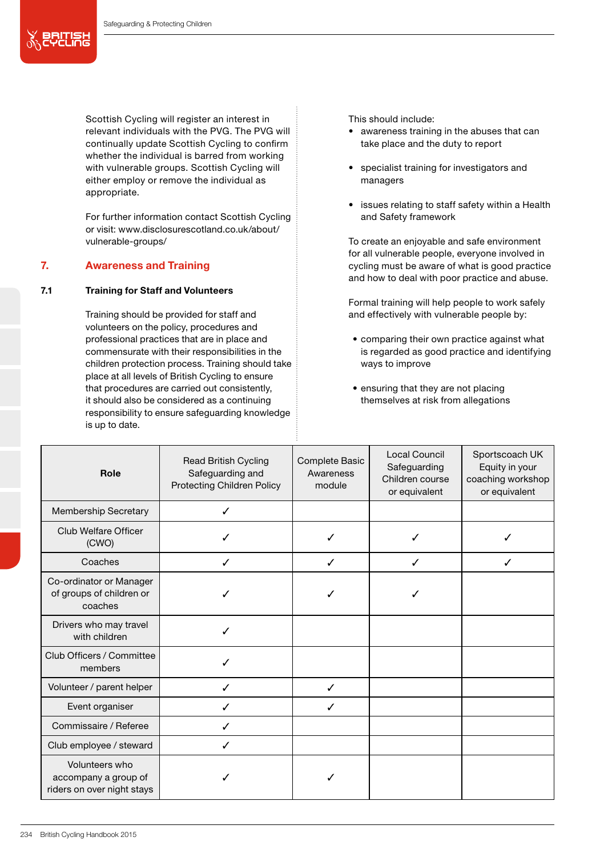Safeguarding & Protecting Children

总即

Scottish Cycling will register an interest in relevant individuals with the PVG. The PVG will continually update Scottish Cycling to confirm whether the individual is barred from working with vulnerable groups. Scottish Cycling will either employ or remove the individual as appropriate.

For further information contact Scottish Cycling or visit: www.disclosurescotland.co.uk/about/ vulnerable-groups/

# 7. Awareness and Training

# 7.1 Training for Staff and Volunteers

Training should be provided for staff and volunteers on the policy, procedures and professional practices that are in place and commensurate with their responsibilities in the children protection process. Training should take place at all levels of British Cycling to ensure that procedures are carried out consistently, it should also be considered as a continuing responsibility to ensure safeguarding knowledge is up to date.

This should include:

- awareness training in the abuses that can take place and the duty to report
- specialist training for investigators and managers
- issues relating to staff safety within a Health and Safety framework

To create an enjoyable and safe environment for all vulnerable people, everyone involved in cycling must be aware of what is good practice and how to deal with poor practice and abuse.

Formal training will help people to work safely and effectively with vulnerable people by:

- comparing their own practice against what is regarded as good practice and identifying ways to improve
- ensuring that they are not placing themselves at risk from allegations

| Role                                                                 | <b>Read British Cycling</b><br>Safeguarding and<br>Protecting Children Policy | Complete Basic<br>Awareness<br>module | Local Council<br>Safeguarding<br>Children course<br>or equivalent | Sportscoach UK<br>Equity in your<br>coaching workshop<br>or equivalent |
|----------------------------------------------------------------------|-------------------------------------------------------------------------------|---------------------------------------|-------------------------------------------------------------------|------------------------------------------------------------------------|
| Membership Secretary                                                 | ✓                                                                             |                                       |                                                                   |                                                                        |
| Club Welfare Officer<br>(CWO)                                        |                                                                               | J                                     |                                                                   |                                                                        |
| Coaches                                                              | ✓                                                                             | ✓                                     | ✓                                                                 |                                                                        |
| Co-ordinator or Manager<br>of groups of children or<br>coaches       |                                                                               | ✓                                     |                                                                   |                                                                        |
| Drivers who may travel<br>with children                              | J                                                                             |                                       |                                                                   |                                                                        |
| Club Officers / Committee<br>members                                 | ℐ                                                                             |                                       |                                                                   |                                                                        |
| Volunteer / parent helper                                            | ℐ                                                                             | ✓                                     |                                                                   |                                                                        |
| Event organiser                                                      | ℐ                                                                             | ✓                                     |                                                                   |                                                                        |
| Commissaire / Referee                                                | ℐ                                                                             |                                       |                                                                   |                                                                        |
| Club employee / steward                                              | ℐ                                                                             |                                       |                                                                   |                                                                        |
| Volunteers who<br>accompany a group of<br>riders on over night stays |                                                                               | ✓                                     |                                                                   |                                                                        |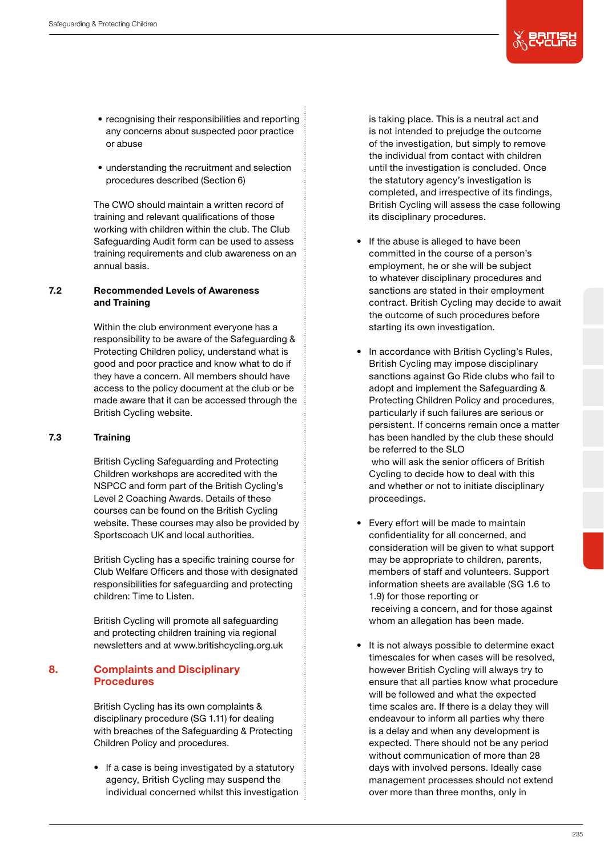

- recognising their responsibilities and reporting any concerns about suspected poor practice or abuse
- understanding the recruitment and selection procedures described (Section 6)

The CWO should maintain a written record of training and relevant qualifications of those working with children within the club. The Club Safeguarding Audit form can be used to assess training requirements and club awareness on an annual basis.

# 7.2 Recommended Levels of Awareness and Training

Within the club environment everyone has a responsibility to be aware of the Safeguarding & Protecting Children policy, understand what is good and poor practice and know what to do if they have a concern. All members should have access to the policy document at the club or be made aware that it can be accessed through the British Cycling website.

# 7.3 Training

British Cycling Safeguarding and Protecting Children workshops are accredited with the NSPCC and form part of the British Cycling's Level 2 Coaching Awards. Details of these courses can be found on the British Cycling website. These courses may also be provided by Sportscoach UK and local authorities.

British Cycling has a specific training course for Club Welfare Officers and those with designated responsibilities for safeguarding and protecting children: Time to Listen.

British Cycling will promote all safeguarding and protecting children training via regional newsletters and at www.britishcycling.org.uk

# 8. Complaints and Disciplinary Procedures

British Cycling has its own complaints & disciplinary procedure (SG 1.11) for dealing with breaches of the Safeguarding & Protecting Children Policy and procedures.

• If a case is being investigated by a statutory agency, British Cycling may suspend the individual concerned whilst this investigation is taking place. This is a neutral act and is not intended to prejudge the outcome of the investigation, but simply to remove the individual from contact with children until the investigation is concluded. Once the statutory agency's investigation is completed, and irrespective of its findings, British Cycling will assess the case following its disciplinary procedures.

- If the abuse is alleged to have been committed in the course of a person's employment, he or she will be subject to whatever disciplinary procedures and sanctions are stated in their employment contract. British Cycling may decide to await the outcome of such procedures before starting its own investigation.
- In accordance with British Cycling's Rules, British Cycling may impose disciplinary sanctions against Go Ride clubs who fail to adopt and implement the Safeguarding & Protecting Children Policy and procedures, particularly if such failures are serious or persistent. If concerns remain once a matter has been handled by the club these should be referred to the SLO who will ask the senior officers of British Cycling to decide how to deal with this and whether or not to initiate disciplinary proceedings.
- Every effort will be made to maintain confidentiality for all concerned, and consideration will be given to what support may be appropriate to children, parents, members of staff and volunteers. Support information sheets are available (SG 1.6 to 1.9) for those reporting or receiving a concern, and for those against whom an allegation has been made.
- It is not always possible to determine exact timescales for when cases will be resolved, however British Cycling will always try to ensure that all parties know what procedure will be followed and what the expected time scales are. If there is a delay they will endeavour to inform all parties why there is a delay and when any development is expected. There should not be any period without communication of more than 28 days with involved persons. Ideally case management processes should not extend over more than three months, only in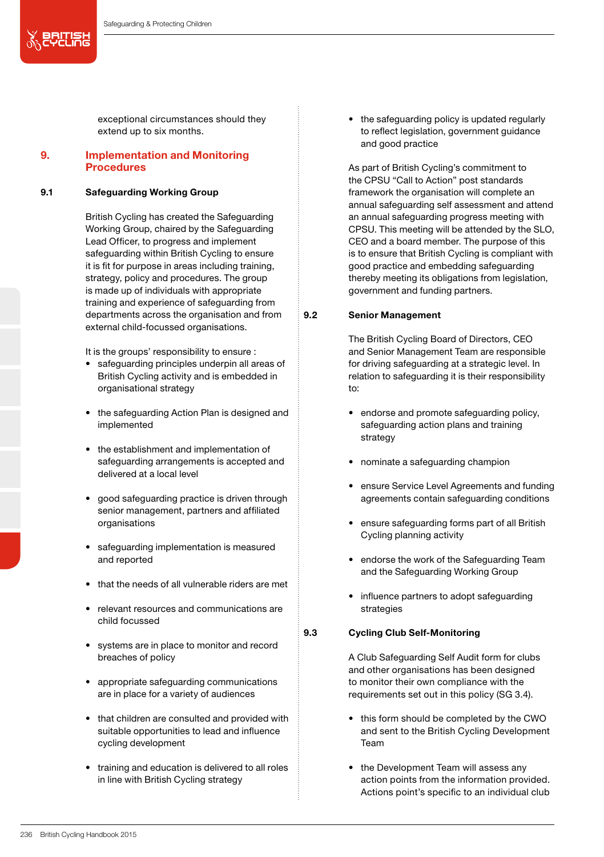义思尔思

exceptional circumstances should they extend up to six months.

# 9. Implementation and Monitoring **Procedures**

# 9.1 Safeguarding Working Group

British Cycling has created the Safeguarding Working Group, chaired by the Safeguarding Lead Officer, to progress and implement safeguarding within British Cycling to ensure it is fit for purpose in areas including training, strategy, policy and procedures. The group is made up of individuals with appropriate training and experience of safeguarding from departments across the organisation and from external child-focussed organisations.

It is the groups' responsibility to ensure :

- safeguarding principles underpin all areas of British Cycling activity and is embedded in organisational strategy
- the safeguarding Action Plan is designed and implemented
- the establishment and implementation of safeguarding arrangements is accepted and delivered at a local level
- good safeguarding practice is driven through senior management, partners and affiliated organisations
- safeguarding implementation is measured and reported
- that the needs of all vulnerable riders are met
- relevant resources and communications are child focussed
- systems are in place to monitor and record breaches of policy
- appropriate safeguarding communications are in place for a variety of audiences
- that children are consulted and provided with suitable opportunities to lead and influence cycling development
- training and education is delivered to all roles in line with British Cycling strategy

• the safeguarding policy is updated regularly to reflect legislation, government guidance and good practice

As part of British Cycling's commitment to the CPSU "Call to Action" post standards framework the organisation will complete an annual safeguarding self assessment and attend an annual safeguarding progress meeting with CPSU. This meeting will be attended by the SLO, CEO and a board member. The purpose of this is to ensure that British Cycling is compliant with good practice and embedding safeguarding thereby meeting its obligations from legislation, government and funding partners.

### 9.2 Senior Management

The British Cycling Board of Directors, CEO and Senior Management Team are responsible for driving safeguarding at a strategic level. In relation to safeguarding it is their responsibility to:

- endorse and promote safeguarding policy, safeguarding action plans and training strategy
- nominate a safeguarding champion
- ensure Service Level Agreements and funding agreements contain safeguarding conditions
- ensure safeguarding forms part of all British Cycling planning activity
- endorse the work of the Safeguarding Team and the Safeguarding Working Group
- influence partners to adopt safeguarding strategies

### 9.3 Cycling Club Self-Monitoring

A Club Safeguarding Self Audit form for clubs and other organisations has been designed to monitor their own compliance with the requirements set out in this policy (SG 3.4).

- this form should be completed by the CWO and sent to the British Cycling Development Team
- the Development Team will assess any action points from the information provided. Actions point's specific to an individual club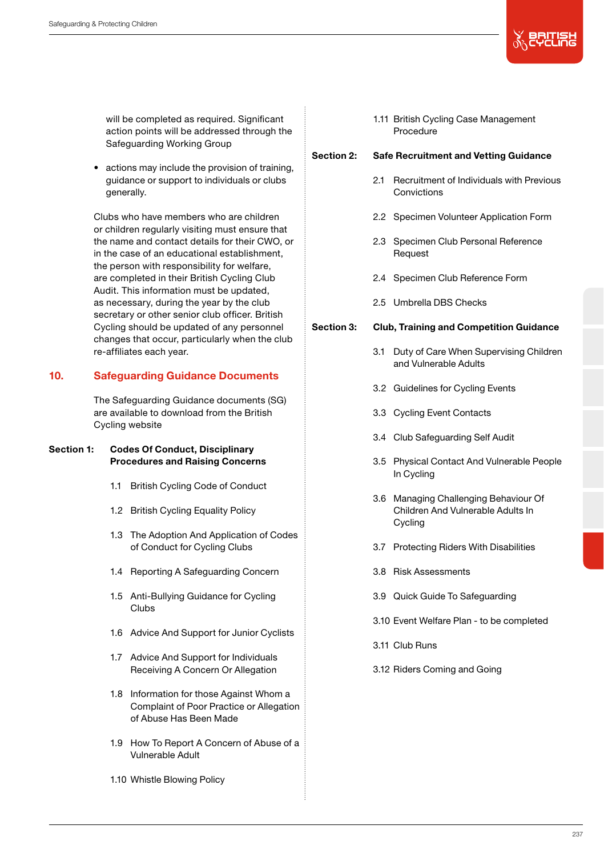

will be completed as required. Significant action points will be addressed through the Safeguarding Working Group

• actions may include the provision of training, guidance or support to individuals or clubs generally.

Clubs who have members who are children or children regularly visiting must ensure that the name and contact details for their CWO, or in the case of an educational establishment, the person with responsibility for welfare, are completed in their British Cycling Club Audit. This information must be updated, as necessary, during the year by the club secretary or other senior club officer. British Cycling should be updated of any personnel changes that occur, particularly when the club re-affiliates each year.

# 10. Safeguarding Guidance Documents

The Safeguarding Guidance documents (SG) are available to download from the British Cycling website

# Section 1: Codes Of Conduct, Disciplinary Procedures and Raising Concerns

- 1.1 British Cycling Code of Conduct
- 1.2 British Cycling Equality Policy
- 1.3 The Adoption And Application of Codes of Conduct for Cycling Clubs
- 1.4 Reporting A Safeguarding Concern
- 1.5 Anti-Bullying Guidance for Cycling Clubs
- 1.6 Advice And Support for Junior Cyclists
- 1.7 Advice And Support for Individuals Receiving A Concern Or Allegation
- 1.8 Information for those Against Whom a Complaint of Poor Practice or Allegation of Abuse Has Been Made
- 1.9 How To Report A Concern of Abuse of a Vulnerable Adult
- 1.10 Whistle Blowing Policy

## 1.11 British Cycling Case Management Procedure

### Section 2: Safe Recruitment and Vetting Guidance

- 2.1 Recruitment of Individuals with Previous **Convictions**
- 2.2 Specimen Volunteer Application Form
- 2.3 Specimen Club Personal Reference Request
- 2.4 Specimen Club Reference Form
- 2.5 Umbrella DBS Checks

# Section 3: Club, Training and Competition Guidance

- 3.1 Duty of Care When Supervising Children and Vulnerable Adults
- 3.2 Guidelines for Cycling Events
- 3.3 Cycling Event Contacts
- 3.4 Club Safeguarding Self Audit
- 3.5 Physical Contact And Vulnerable People In Cycling
- 3.6 Managing Challenging Behaviour Of Children And Vulnerable Adults In Cycling
- 3.7 Protecting Riders With Disabilities
- 3.8 Risk Assessments
- 3.9 Quick Guide To Safeguarding
- 3.10 Event Welfare Plan to be completed
- 3.11 Club Runs
- 3.12 Riders Coming and Going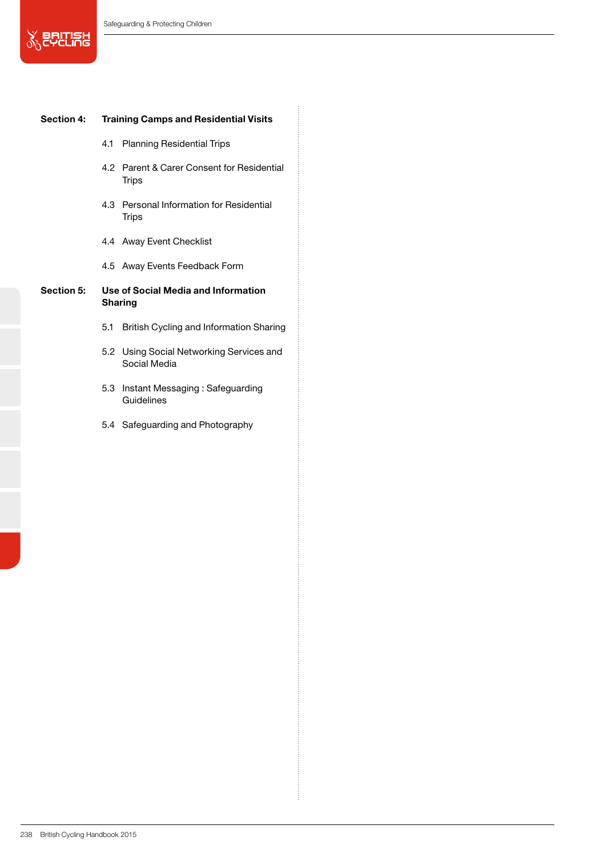**SEPTIEL** 

## Section 4: Training Camps and Residential Visits

- 4.1 Planning Residential Trips
- 4.2 Parent & Carer Consent for Residential **Trips**
- 4.3 Personal Information for Residential **Trips**
- 4.4 Away Event Checklist
- 4.5 Away Events Feedback Form

# Section 5: Use of Social Media and Information Sharing

- 5.1 British Cycling and Information Sharing
- 5.2 Using Social Networking Services and Social Media
- 5.3 Instant Messaging : Safeguarding Guidelines
- 5.4 Safeguarding and Photography